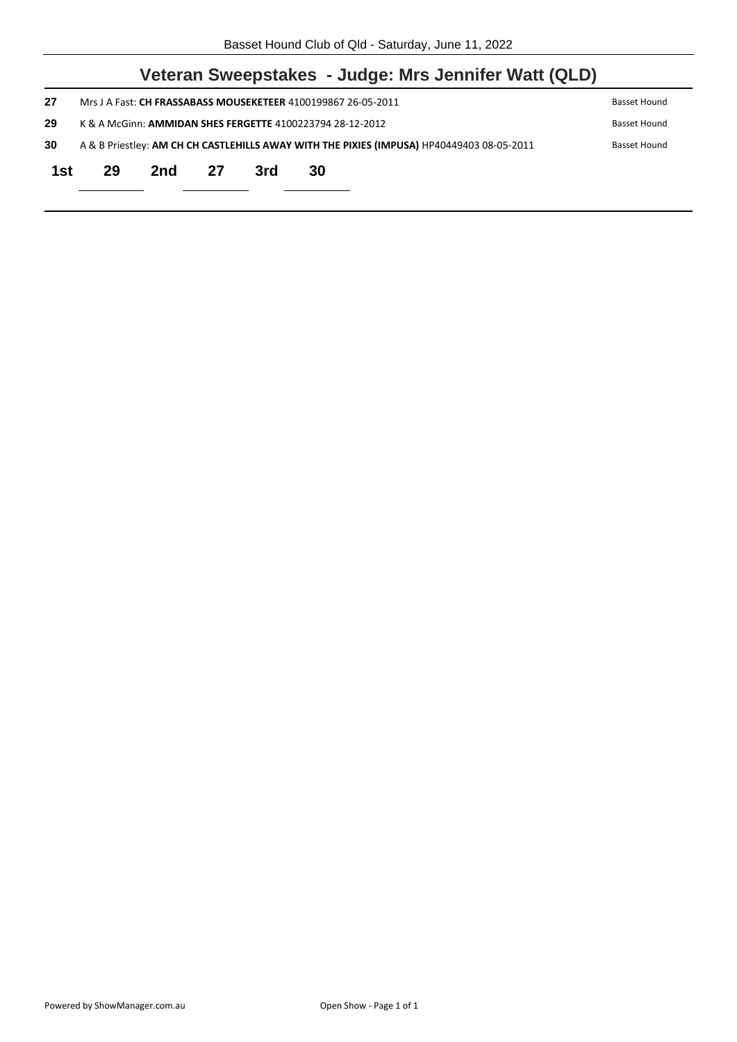|     |                                                                                                           |     |    |     | Veteran Sweepstakes - Judge: Mrs Jennifer Watt (QLD) |  |  |
|-----|-----------------------------------------------------------------------------------------------------------|-----|----|-----|------------------------------------------------------|--|--|
| 27  | Mrs J A Fast: CH FRASSABASS MOUSEKETEER 4100199867 26-05-2011<br>Basset Hound                             |     |    |     |                                                      |  |  |
| 29  | K & A McGinn: AMMIDAN SHES FERGETTE 4100223794 28-12-2012<br>Basset Hound                                 |     |    |     |                                                      |  |  |
| 30  | A & B Priestley: AM CH CH CASTLEHILLS AWAY WITH THE PIXIES (IMPUSA) HP40449403 08-05-2011<br>Basset Hound |     |    |     |                                                      |  |  |
| 1st | 29                                                                                                        | 2nd | 27 | 3rd | 30                                                   |  |  |
|     |                                                                                                           |     |    |     |                                                      |  |  |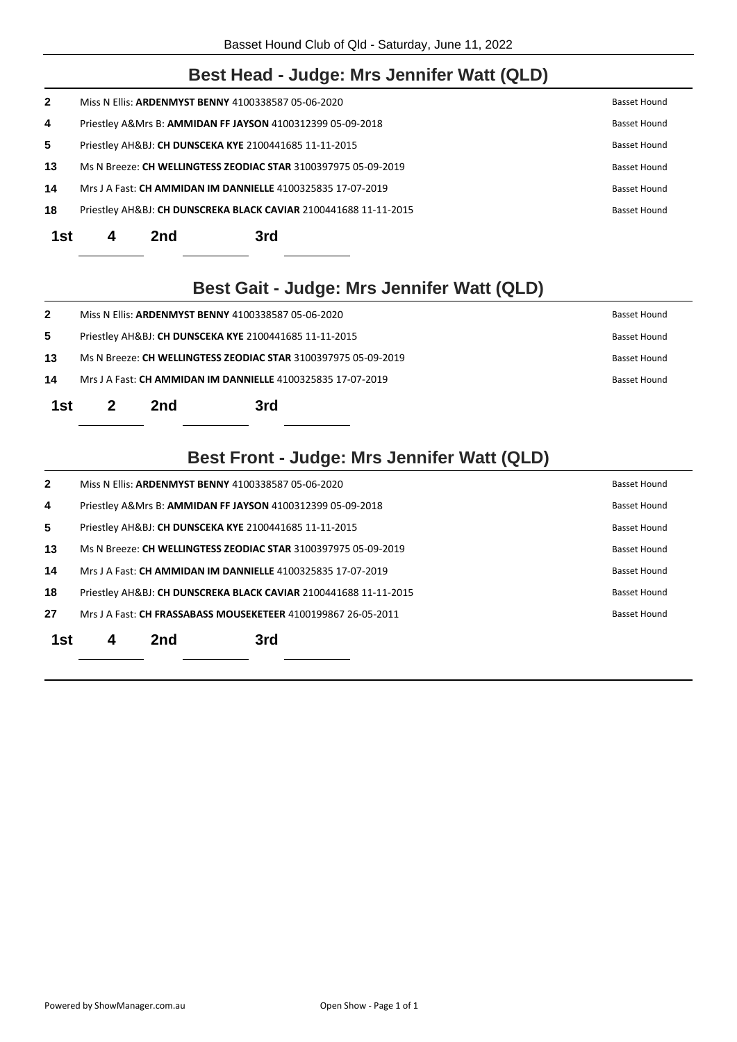#### **Best Head - Judge: Mrs Jennifer Watt (QLD)**

| 1st          | 2nd | 3rd                                                              |  |                     |
|--------------|-----|------------------------------------------------------------------|--|---------------------|
| 18           |     | Priestley AH&BJ: CH DUNSCREKA BLACK CAVIAR 2100441688 11-11-2015 |  | <b>Basset Hound</b> |
| 14           |     | Mrs J A Fast: CH AMMIDAN IM DANNIELLE 4100325835 17-07-2019      |  | <b>Basset Hound</b> |
| 13           |     | Ms N Breeze: CH WELLINGTESS ZEODIAC STAR 3100397975 05-09-2019   |  | <b>Basset Hound</b> |
| 5            |     | Priestley AH&BJ: CH DUNSCEKA KYE 2100441685 11-11-2015           |  | Basset Hound        |
| 4            |     | Priestley A&Mrs B: AMMIDAN FF JAYSON 4100312399 05-09-2018       |  | <b>Basset Hound</b> |
| $\mathbf{2}$ |     | Miss N Ellis: ARDENMYST BENNY 4100338587 05-06-2020              |  | <b>Basset Hound</b> |

**Best Gait - Judge: Mrs Jennifer Watt (QLD)** 

| 1st          |                                                                             | 2nd | 3rd |  |  |              |
|--------------|-----------------------------------------------------------------------------|-----|-----|--|--|--------------|
| 14           | Mrs J A Fast: CH AMMIDAN IM DANNIELLE 4100325835 17-07-2019<br>Basset Hound |     |     |  |  |              |
| 13           | Ms N Breeze: CH WELLINGTESS ZEODIAC STAR 3100397975 05-09-2019              |     |     |  |  | Basset Hound |
| 5            | Priestley AH&BJ: CH DUNSCEKA KYE 2100441685 11-11-2015                      |     |     |  |  | Basset Hound |
| $\mathbf{2}$ | Miss N Ellis: ARDENMYST BENNY 4100338587 05-06-2020                         |     |     |  |  | Basset Hound |

## **Best Front - Judge: Mrs Jennifer Watt (QLD)**

| $\mathbf{2}$ |   | Miss N Ellis: ARDENMYST BENNY 4100338587 05-06-2020 |                                                                       | Basset Hound        |
|--------------|---|-----------------------------------------------------|-----------------------------------------------------------------------|---------------------|
| 4            |   |                                                     | Priestley A&Mrs B: AMMIDAN FF JAYSON 4100312399 05-09-2018            | Basset Hound        |
| 5            |   |                                                     | Priestley AH&BJ: CH DUNSCEKA KYE 2100441685 11-11-2015                | Basset Hound        |
| 13           |   |                                                     | Ms N Breeze: <b>CH WELLINGTESS ZEODIAC STAR</b> 3100397975 05-09-2019 | <b>Basset Hound</b> |
| 14           |   |                                                     | Mrs J A Fast: <b>CH AMMIDAN IM DANNIELLE</b> 4100325835 17-07-2019    | <b>Basset Hound</b> |
| 18           |   |                                                     | Priestley AH&BJ: CH DUNSCREKA BLACK CAVIAR 2100441688 11-11-2015      | <b>Basset Hound</b> |
| 27           |   |                                                     | Mrs J A Fast: CH FRASSABASS MOUSEKETEER 4100199867 26-05-2011         | <b>Basset Hound</b> |
| 1st          | 4 | 2nd                                                 | 3rd                                                                   |                     |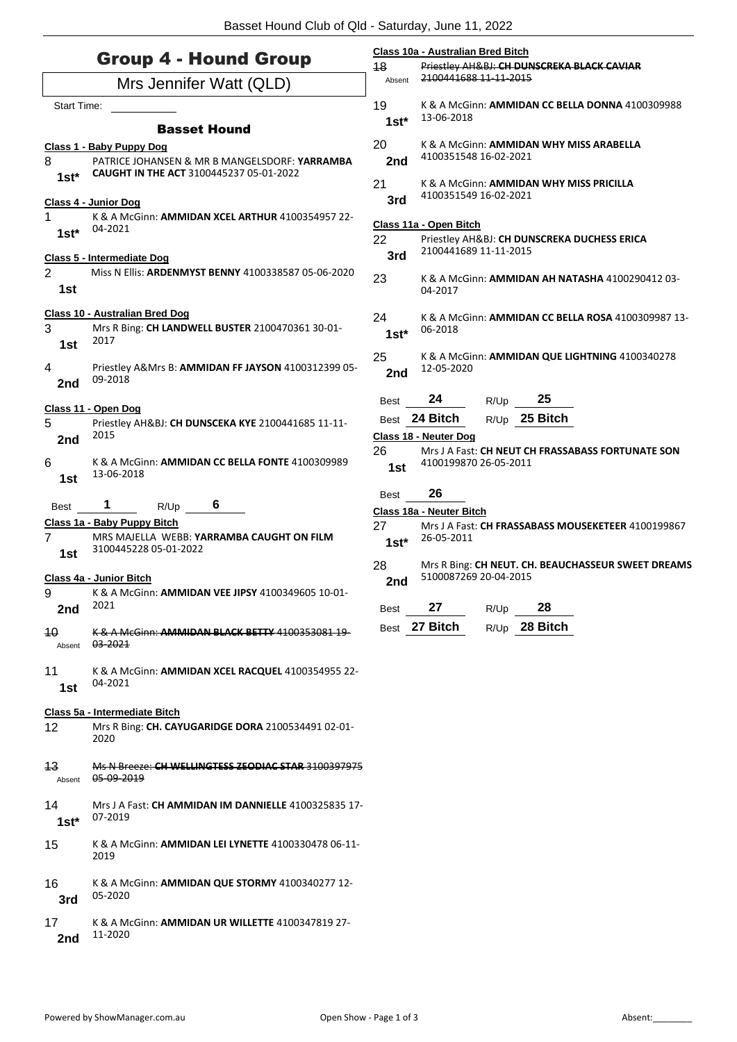|                         | <b>Group 4 - Hound Group</b>                                                                      | 18           | Class 10a - Australian Bred Bitch<br>Priestley AH&BJ: CH DUNSCREKA BLACK CAVIAR |
|-------------------------|---------------------------------------------------------------------------------------------------|--------------|---------------------------------------------------------------------------------|
| Mrs Jennifer Watt (QLD) |                                                                                                   |              | 2100441688 11-11-2015                                                           |
| <b>Start Time:</b>      |                                                                                                   | 19<br>$1st*$ | K & A McGinn: AMMIDAN CC BELLA DONNA 4100309988<br>13-06-2018                   |
| 8                       | <b>Basset Hound</b><br>Class 1 - Baby Puppy Dog<br>PATRICE JOHANSEN & MR B MANGELSDORF: YARRAMBA  | 20<br>2nd    | K & A McGinn: AMMIDAN WHY MISS ARABELLA<br>4100351548 16-02-2021                |
| $1st*$                  | <b>CAUGHT IN THE ACT 3100445237 05-01-2022</b>                                                    | 21           | K & A McGinn: AMMIDAN WHY MISS PRICILLA<br>4100351549 16-02-2021                |
| 1<br>$1st*$             | Class 4 - Junior Dog<br>K & A McGinn: AMMIDAN XCEL ARTHUR 4100354957 22-<br>04-2021               | 3rd          | Class 11a - Open Bitch                                                          |
|                         | Class 5 - Intermediate Dog                                                                        | 22<br>3rd    | Priestley AH&BJ: CH DUNSCREKA DUCHESS ERICA<br>2100441689 11-11-2015            |
| $\overline{2}$<br>1st   | Miss N Ellis: ARDENMYST BENNY 4100338587 05-06-2020                                               | 23           | K & A McGinn: AMMIDAN AH NATASHA 4100290412 03-<br>04-2017                      |
| 3<br>1st                | <b>Class 10 - Australian Bred Dog</b><br>Mrs R Bing: CH LANDWELL BUSTER 2100470361 30-01-<br>2017 | 24<br>$1st*$ | K & A McGinn: AMMIDAN CC BELLA ROSA 4100309987 13-<br>06-2018                   |
| 4<br>2nd                | Priestley A&Mrs B: AMMIDAN FF JAYSON 4100312399 05-<br>09-2018                                    | 25<br>2nd    | K & A McGinn: AMMIDAN QUE LIGHTNING 4100340278<br>12-05-2020                    |
|                         | Class 11 - Open Dog                                                                               | <b>Best</b>  | 24<br>25<br>R/Up                                                                |
| 5<br>2nd                | Priestley AH&BJ: CH DUNSCEKA KYE 2100441685 11-11-<br>2015                                        |              | Best 24 Bitch<br>R/Up 25 Bitch<br>Class 18 - Neuter Dog                         |
| 6<br>1st                | K & A McGinn: AMMIDAN CC BELLA FONTE 4100309989<br>13-06-2018                                     | 26<br>1st    | Mrs J A Fast: CH NEUT CH FRASSABASS FORTUNATE SON<br>4100199870 26-05-2011      |
| Best                    | 1<br>6<br>R/Up                                                                                    | Best         | 26<br>Class 18a - Neuter Bitch                                                  |
| $\overline{7}$<br>1st   | Class 1a - Baby Puppy Bitch<br>MRS MAJELLA WEBB: YARRAMBA CAUGHT ON FILM<br>3100445228 05-01-2022 | 27<br>$1st*$ | Mrs J A Fast: CH FRASSABASS MOUSEKETEER 4100199867<br>26-05-2011                |
|                         | Class 4a - Junior Bitch                                                                           | 28<br>2nd    | Mrs R Bing: CH NEUT. CH. BEAUCHASSEUR SWEET DREAMS<br>5100087269 20-04-2015     |
| 9<br>2nd                | K & A McGinn: AMMIDAN VEE JIPSY 4100349605 10-01-<br>2021                                         | Best         | 27<br>28<br>R/Up                                                                |
| 40<br>Absent            | K & A McGinn: AMMIDAN BLACK BETTY 4100353081 19-<br>03-2021                                       |              | Best 27 Bitch<br>28 Bitch<br>R/Up                                               |
| 11<br>1st               | K & A McGinn: AMMIDAN XCEL RACQUEL 4100354955 22-<br>04-2021                                      |              |                                                                                 |
| 12                      | Class 5a - Intermediate Bitch<br>Mrs R Bing: CH. CAYUGARIDGE DORA 2100534491 02-01-<br>2020       |              |                                                                                 |
| 13<br>Absent            | Ms N Breeze: CH WELLINGTESS ZEODIAC STAR 3100397975<br>05 09 2019                                 |              |                                                                                 |
| 14<br>$1st^*$           | Mrs J A Fast: CH AMMIDAN IM DANNIELLE 4100325835 17-<br>07-2019                                   |              |                                                                                 |
| 15                      | K & A McGinn: <b>AMMIDAN LEI LYNETTE</b> 4100330478 06-11-<br>2019                                |              |                                                                                 |
| 16<br>3rd               | K & A McGinn: AMMIDAN QUE STORMY 4100340277 12-<br>05-2020                                        |              |                                                                                 |
| 17<br>2nd               | K & A McGinn: AMMIDAN UR WILLETTE 4100347819 27-<br>11-2020                                       |              |                                                                                 |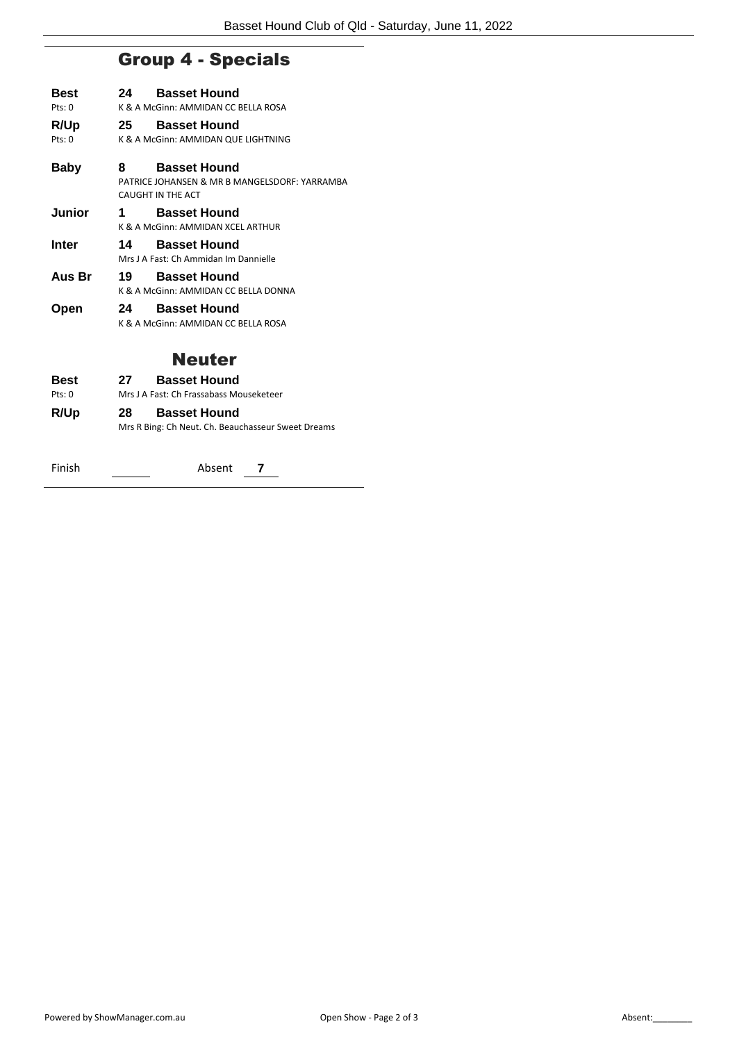## Group 4 - Specials

| Best   | 24 | <b>Basset Hound</b>                           |
|--------|----|-----------------------------------------------|
| Pts:0  |    | K & A McGinn: AMMIDAN CC BELLA ROSA           |
| R/Up   | 25 | <b>Basset Hound</b>                           |
| Pts:0  |    | K & A McGinn: AMMIDAN QUE LIGHTNING           |
| Baby   | 8  | <b>Basset Hound</b>                           |
|        |    | PATRICE JOHANSEN & MR B MANGELSDORF: YARRAMBA |
|        |    | CAUGHT IN THE ACT                             |
| Junior | 1  | <b>Basset Hound</b>                           |
|        |    | K & A McGinn: AMMIDAN XCEL ARTHUR             |
| Inter  | 14 | <b>Basset Hound</b>                           |
|        |    | Mrs J A Fast: Ch Ammidan Im Dannielle         |
| Aus Br | 19 | <b>Basset Hound</b>                           |
|        |    | K & A McGinn: AMMIDAN CC BELLA DONNA          |
| Open   | 24 | <b>Basset Hound</b>                           |
|        |    | K & A McGinn: AMMIDAN CC BELLA ROSA           |

#### Neuter

| Best   | 27  | <b>Basset Hound</b>                                |
|--------|-----|----------------------------------------------------|
| Pts: 0 |     | Mrs J A Fast: Ch Frassabass Mouseketeer            |
| R/Up   | 28. | <b>Basset Hound</b>                                |
|        |     | Mrs R Bing: Ch Neut. Ch. Beauchasseur Sweet Dreams |
|        |     |                                                    |

Finish Absent **7**